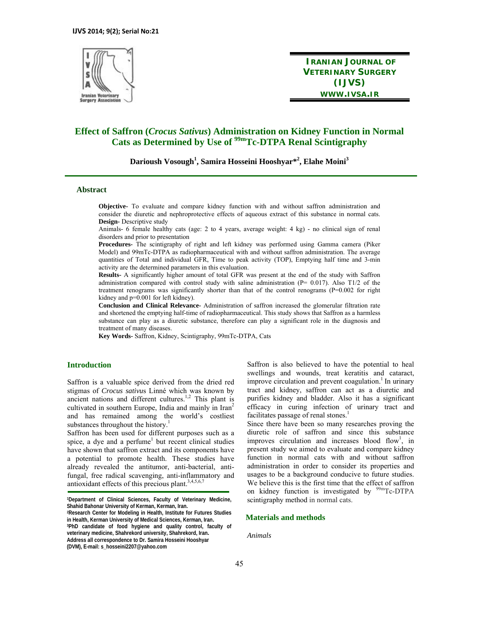

**IRANIAN JOURNAL OF VETERINARY SURGERY (IJVS) WWW.IVSA.IR**

# **Effect of Saffron (***Crocus Sativus***) Administration on Kidney Function in Normal Cats as Determined by Use of 99m Tc-DTPA Renal Scintigraphy**

**Darioush Vosough<sup>1</sup> , Samira Hosseini Hooshyar\*2 , Elahe Moini<sup>3</sup>**

#### **Abstract**

**Objective-** To evaluate and compare kidney function with and without saffron administration and consider the diuretic and nephroprotective effects of aqueous extract of this substance in normal cats. **Design-** Descriptive study

Animals- 6 female healthy cats (age: 2 to 4 years, average weight: 4 kg) - no clinical sign of renal disorders and prior to presentation

**Procedures-** The scintigraphy of right and left kidney was performed using Gamma camera (Piker Model) and 99mTc-DTPA as radiopharmaceutical with and without saffron administration. The average quantities of Total and individual GFR, Time to peak activity (TOP), Emptying half time and 3-min activity are the determined parameters in this evaluation.

**Results-** A significantly higher amount of total GFR was present at the end of the study with Saffron administration compared with control study with saline administration (P= 0.017). Also T1/2 of the treatment renograms was significantly shorter than that of the control renograms (P=0.002 for right kidney and p=0.001 for left kidney).

**Conclusion and Clinical Relevance-** Administration of saffron increased the glomerular filtration rate and shortened the emptying half-time of radiopharmaceutical. This study shows that Saffron as a harmless substance can play as a diuretic substance, therefore can play a significant role in the diagnosis and treatment of many diseases.

**Key Words-** Saffron, Kidney, Scintigraphy, 99mTc-DTPA, Cats

## **Introduction**

Saffron is a valuable spice derived from the dried red stigmas of *Crocus sativu*s Linné which was known by ancient nations and different cultures.<sup>1,2</sup> This plant is cultivated in southern Europe, India and mainly in Iran<sup>2</sup> and has remained among the world's costliest substances throughout the history.<sup>1</sup>

Saffron has been used for different purposes such as a spice, a dye and a perfume<sup>1</sup> but recent clinical studies have shown that saffron extract and its components have a potential to promote health. These studies have already revealed the antitumor, anti-bacterial, antifungal, free radical scavenging, anti-inflammatory and antioxidant effects of this precious plant. $3,4,5,6,7$ 

Saffron is also believed to have the potential to heal swellings and wounds, treat keratitis and cataract, improve circulation and prevent coagulation.<sup>1</sup> In urinary tract and kidney, saffron can act as a diuretic and purifies kidney and bladder. Also it has a significant efficacy in curing infection of urinary tract and facilitates passage of renal stones. $<sup>1</sup>$ </sup>

Since there have been so many researches proving the diuretic role of saffron and since this substance improves circulation and increases blood flow<sup>1</sup>, in present study we aimed to evaluate and compare kidney function in normal cats with and without saffron administration in order to consider its properties and usages to be a background conducive to future studies. We believe this is the first time that the effect of saffron on kidney function is investigated by  $\frac{99 \text{m}}{2}$ Tc-DTPA scintigraphy method in normal cats.

#### **Materials and methods**

*Animals*

**<sup>1</sup>Department of Clinical Sciences, Faculty of Veterinary Medicine,**  Shahid Bahonar University of Kerman, Kerman, Iran.<br><sup>2</sup>Research Center for Modeling in Health, Institute for Futures Studies

**in Health, Kerman University of Medical Sciences, Kerman, Iran. 3PhD candidate of food hygiene and quality control, faculty of veterinary medicine, Shahrekord university, Shahrekord, Iran. Address all correspondence to Dr. Samira Hosseini Hooshyar (DVM), E-mail: s\_hosseini2207@yahoo.com**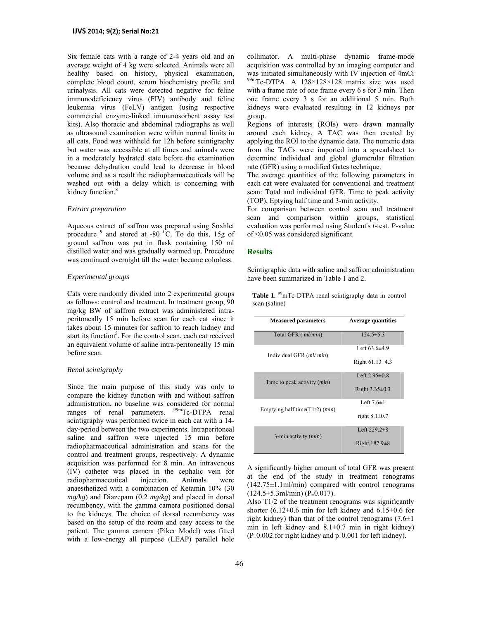Six female cats with a range of 2-4 years old and an average weight of 4 kg were selected. Animals were all healthy based on history, physical examination, complete blood count, serum biochemistry profile and urinalysis. All cats were detected negative for feline immunodeficiency virus (FIV) antibody and feline leukemia virus (FeLV) antigen (using respective commercial enzyme-linked immunosorbent assay test kits). Also thoracic and abdominal radiographs as well as ultrasound examination were within normal limits in all cats. Food was withheld for 12h before scintigraphy but water was accessible at all times and animals were in a moderately hydrated state before the examination because dehydration could lead to decrease in blood volume and as a result the radiopharmaceuticals will be washed out with a delay which is concerning with kidney function.<sup>8</sup>

#### *Extract preparation*

Aqueous extract of saffron was prepared using Soxhlet procedure  $9$  and stored at -80  $^{0}$ C. To do this, 15g of ground saffron was put in flask containing 150 ml distilled water and was gradually warmed up. Procedure was continued overnight till the water became colorless.

#### *Experimental groups*

Cats were randomly divided into 2 experimental groups as follows: control and treatment. In treatment group, 90 mg/kg BW of saffron extract was administered intraperitoneally 15 min before scan for each cat since it takes about 15 minutes for saffron to reach kidney and start its function<sup>5</sup>. For the control scan, each cat received an equivalent volume of saline intra-peritoneally 15 min before scan.

#### *Renal scintigraphy*

Since the main purpose of this study was only to compare the kidney function with and without saffron administration, no baseline was considered for normal ranges of renal parameters. <sup>99m</sup>Tc-DTPA renal scintigraphy was performed twice in each cat with a 14 day-period between the two experiments. Intraperitoneal saline and saffron were injected 15 min before radiopharmaceutical administration and scans for the control and treatment groups, respectively. A dynamic acquisition was performed for 8 min. An intravenous (IV) catheter was placed in the cephalic vein for radiopharmaceutical injection. Animals were anaesthetized with a combination of Ketamin 10% (30 *mg/kg*) and Diazepam (0.2 *mg/kg*) and placed in dorsal recumbency, with the gamma camera positioned dorsal to the kidneys. The choice of dorsal recumbency was based on the setup of the room and easy access to the patient. The gamma camera (Piker Model) was fitted with a low-energy all purpose (LEAP) parallel hole collimator. A multi-phase dynamic frame-mode acquisition was controlled by an imaging computer and was initiated simultaneously with IV injection of 4mCi  $^{99m}$ Tc-DTPA. A 128×128×128 matrix size was used with a frame rate of one frame every 6 s for 3 min. Then one frame every 3 s for an additional 5 min. Both kidneys were evaluated resulting in 12 kidneys per group.

Regions of interests (ROIs) were drawn manually around each kidney. A TAC was then created by applying the ROI to the dynamic data. The numeric data from the TACs were imported into a spreadsheet to determine individual and global glomerular filtration rate (GFR) using a modified Gates technique.

The average quantities of the following parameters in each cat were evaluated for conventional and treatment scan: Total and individual GFR, Time to peak activity (TOP), Eptying half time and 3-min activity.

For comparison between control scan and treatment scan and comparison within groups, statistical evaluation was performed using Student's *t*-test. *P-*value of <0.05 was considered significant.

#### **Results**

Scintigraphic data with saline and saffron administration have been summarized in Table 1 and 2.

Table 1. <sup>99</sup>mTc-DTPA renal scintigraphy data in control scan (saline)

| <b>Measured parameters</b>         | <b>Average quantities</b> |
|------------------------------------|---------------------------|
| Total GFR ( <i>ml/min</i> )        | $124.5 \pm 5.3$           |
| Individual GFR ( <i>ml/ min</i> )  | Left $63.6 \pm 4.9$       |
|                                    | Right $61.13 \pm 4.3$     |
| Time to peak activity (min)        | Left $2.95 \pm 0.8$       |
|                                    | Right $3.35\pm0.3$        |
| Emptying half time( $T1/2$ ) (min) | Left $7.6\pm1$            |
|                                    | right $8.1 \pm 0.7$       |
| 3-min activity $(min)$             | Left $229.2\pm 8$         |
|                                    | Right $187.9\pm8$         |

A significantly higher amount of total GFR was present at the end of the study in treatment renograms  $(142.75\pm1.1 \text{ m}$ l/min) compared with control renograms  $(124.5\pm5.3 \text{ml/min})$  (P<sub>=</sub>0.017).

Also T1/2 of the treatment renograms was significantly shorter (6.12 $\pm$ 0.6 min for left kidney and 6.15 $\pm$ 0.6 for right kidney) than that of the control renograms  $(7.6\pm1)$ min in left kidney and  $8.1 \pm 0.7$  min in right kidney)  $(P=0.002$  for right kidney and  $p=0.001$  for left kidney).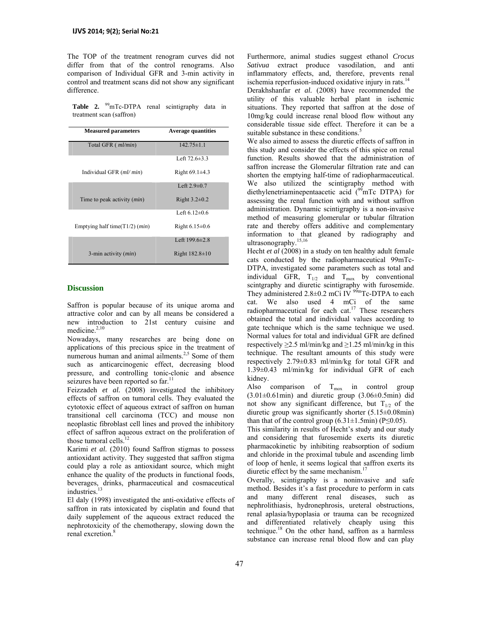The TOP of the treatment renogram curves did not differ from that of the control renograms. Also comparison of Individual GFR and 3-min activity in control and treatment scans did not show any significant difference.

**Table 2.** <sup>99</sup>mTc-DTPA renal scintigraphy data in treatment scan (saffron)

| <b>Measured parameters</b>                  | <b>Average quantities</b> |
|---------------------------------------------|---------------------------|
| Total GFR ( <i>ml/min</i> )                 | $142.75 \pm 1.1$          |
|                                             | Left $72.6 \pm 3.3$       |
| Individual GFR (ml/min)                     | Right $69.1 \pm 4.3$      |
|                                             | Left $2.9 \pm 0.7$        |
| Time to peak activity ( <i>min</i> )        | Right $3.2\pm0.2$         |
|                                             | Left $6.12\pm0.6$         |
| Emptying half time( $T1/2$ ) ( <i>min</i> ) | Right $6.15\pm0.6$        |
|                                             | Left 199.6 $\pm 2.8$      |
| 3-min activity $(min)$                      | Right $182.8 \pm 10$      |

## **Discussion**

Saffron is popular because of its unique aroma and attractive color and can by all means be considered a new introduction to 21st century cuisine and medicine. $2,10$ 

Nowadays, many researches are being done on applications of this precious spice in the treatment of numerous human and animal ailments.<sup>2,5</sup> Some of them such as anticarcinogenic effect, decreasing blood pressure, and controlling tonic-clonic and absence seizures have been reported so far.<sup>11</sup>

Feizzadeh *et al.* (2008) investigated the inhibitory effects of saffron on tumoral cells. They evaluated the cytotoxic effect of aqueous extract of saffron on human transitional cell carcinoma (TCC) and mouse non neoplastic fibroblast cell lines and proved the inhibitory effect of saffron aqueous extract on the proliferation of those tumoral cells.<sup>12</sup>

Karimi *et al.* (2010) found Saffron stigmas to possess antioxidant activity. They suggested that saffron stigma could play a role as antioxidant source, which might enhance the quality of the products in functional foods, beverages, drinks, pharmaceutical and cosmaceutical industries.<sup>13</sup>

El daly (1998) investigated the anti-oxidative effects of saffron in rats intoxicated by cisplatin and found that daily supplement of the aqueous extract reduced the nephrotoxicity of the chemotherapy, slowing down the renal excretion.<sup>8</sup>

Furthermore, animal studies suggest ethanol *Crocus Sativua* extract produce vasodilation, and anti inflammatory effects, and, therefore, prevents renal ischemia reperfusion-induced oxidative injury in rats. $14$ Derakhshanfar *et al.* (2008) have recommended the utility of this valuable herbal plant in ischemic situations. They reported that saffron at the dose of 10mg/kg could increase renal blood flow without any considerable tissue side effect. Therefore it can be a suitable substance in these conditions.<sup>5</sup>

We also aimed to assess the diuretic effects of saffron in this study and consider the effects of this spice on renal function. Results showed that the administration of saffron increase the Glomerular filtration rate and can shorten the emptying half-time of radiopharmaceutical. We also utilized the scintigraphy method with diethylenetriaminepentaacetic acid  $(29 \text{mTc} DTPA)$  for assessing the renal function with and without saffron administration. Dynamic scintigraphy is a non-invasive method of measuring glomerular or tubular filtration rate and thereby offers additive and complementary information to that gleaned by radiography and ultrasonography.<sup>15,16</sup>

Hecht *et al* (2008) in a study on ten healthy adult female cats conducted by the radiopharmaceutical 99mTc-DTPA, investigated some parameters such as total and individual GFR,  $T_{1/2}$  and  $T_{\text{max}}$  by conventional scintgraphy and diuretic scintigraphy with furosemide. They administered 2.8 $\pm$ 0.2 mCi IV <sup>99m</sup>Tc-DTPA to each cat. We also used 4 mCi of the same radiopharmaceutical for each cat.<sup>17</sup> These researchers obtained the total and individual values according to gate technique which is the same technique we used. Normal values for total and individual GFR are defined respectively  $\geq$ 2.5 ml/min/kg and  $\geq$ 1.25 ml/min/kg in this technique. The resultant amounts of this study were respectively 2.79±0.83 ml/min/kg for total GFR and 1.39±0.43 ml/min/kg for individual GFR of each kidney.

Also comparison of  $T_{\text{max}}$  in control group  $(3.01\pm0.61\,\text{min})$  and diuretic group  $(3.06\pm0.5\,\text{min})$  did not show any significant difference, but  $T_{1/2}$  of the diuretic group was significantly shorter (5.15±0.08min) than that of the control group  $(6.31\pm1.5\text{min})$  (P $\leq 0.05$ ).

This similarity in results of Hecht's study and our study and considering that furosemide exerts its diuretic pharmacokinetic by inhibiting reabsorption of sodium and chloride in the proximal tubule and ascending limb of loop of henle, it seems logical that saffron exerts its diuretic effect by the same mechanism.<sup>1</sup>

Overally, scintigraphy is a noninvasive and safe method. Besides it's a fast procedure to perform in cats and many different renal diseases, such as nephrolithiasis, hydronephrosis, ureteral obstructions, renal aplasia/hypoplasia or trauma can be recognized and differentiated relatively cheaply using this technique.18 On the other hand, saffron as a harmless substance can increase renal blood flow and can play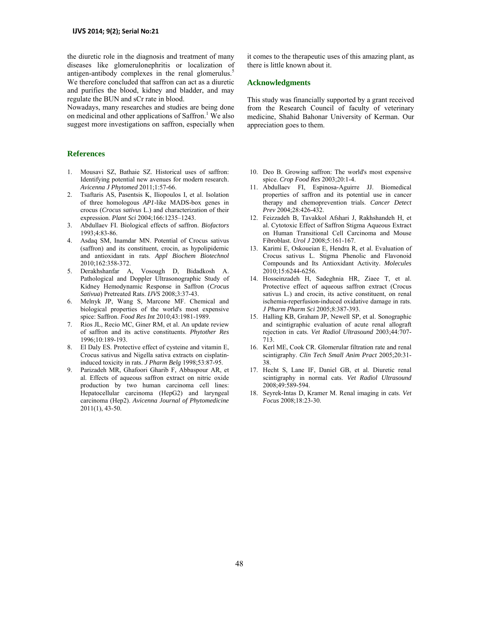the diuretic role in the diagnosis and treatment of many diseases like glomerulonephritis or localization of antigen-antibody complexes in the renal glomerulus.<sup>5</sup> We therefore concluded that saffron can act as a diuretic and purifies the blood, kidney and bladder, and may regulate the BUN and sCr rate in blood.

Nowadays, many researches and studies are being done on medicinal and other applications of Saffron.<sup>1</sup> We also suggest more investigations on saffron, especially when

### **References**

- 1. Mousavi SZ, Bathaie SZ. Historical uses of saffron: Identifying potential new avenues for modern research. *Avicenna J Phytomed* 2011;1:57-66.
- 2. Tsaftaris AS, Pasentsis K, Iliopoulos I, et al. Isolation of three homologous *AP1*-like MADS-box genes in crocus (*Crocus sativus* L.) and characterization of their expression. *Plant Sci* 2004;166:1235–1243.
- 3. Abdullaev FI. Biological effects of saffron. *Biofactors* 1993;4:83-86.
- 4. Asdaq SM, Inamdar MN. Potential of Crocus sativus (saffron) and its constituent, crocin, as hypolipidemic and antioxidant in rats. *Appl Biochem Biotechnol* 2010;162:358-372.
- 5. Derakhshanfar A, Vosough D, Bidadkosh A. Pathological and Doppler Ultrasonographic Study of Kidney Hemodynamic Response in Saffron (*Crocus Sativua*) Pretreated Rats. *IJVS* 2008;3:37-43.
- 6. Melnyk JP, Wang S, Marcone MF. Chemical and biological properties of the world's most expensive spice: Saffron. *Food Res Int* 2010;43:1981-1989.
- 7. Rios JL, Recio MC, Giner RM, et al. An update review of saffron and its active constituents. *Phytother Res* 1996;10:189-193.
- 8. El Daly ES. Protective effect of cysteine and vitamin E, Crocus sativus and Nigella sativa extracts on cisplatininduced toxicity in rats. *J Pharm Belg* 1998;53:87-95.
- 9. Parizadeh MR, Ghafoori Gharib F, Abbaspour AR, et al. Effects of aqueous saffron extract on nitric oxide production by two human carcinoma cell lines: Hepatocellular carcinoma (HepG2) and laryngeal carcinoma (Hep2). *Avicenna Journal of Phytomedicine* 2011(1), 43-50.

it comes to the therapeutic uses of this amazing plant, as there is little known about it.

#### **Acknowledgments**

This study was financially supported by a grant received from the Research Council of faculty of veterinary medicine, Shahid Bahonar University of Kerman. Our appreciation goes to them.

- 10. Deo B. Growing saffron: The world's most expensive spice. *Crop Food Res* 2003;20:1-4.
- 11. Abdullaev FI, Espinosa-Aguirre JJ. Biomedical properties of saffron and its potential use in cancer therapy and chemoprevention trials. *Cancer Detect Prev* 2004;28:426-432.
- 12. Feizzadeh B, Tavakkol Afshari J, Rakhshandeh H, et al. Cytotoxic Effect of Saffron Stigma Aqueous Extract on Human Transitional Cell Carcinoma and Mouse Fibroblast. *Urol J* 2008;5:161-167.
- 13. Karimi E, Oskoueian E, Hendra R, et al. Evaluation of Crocus sativus L. Stigma Phenolic and Flavonoid Compounds and Its Antioxidant Activity. *Molecules* 2010;15:6244-6256.
- 14. Hosseinzadeh H, Sadeghnia HR, Ziaee T, et al. Protective effect of aqueous saffron extract (Crocus sativus L.) and crocin, its active constituent, on renal ischemia-reperfusion-induced oxidative damage in rats. *J Pharm Pharm Sci* 2005;8:387-393.
- 15. Halling KB, Graham JP, Newell SP, et al. Sonographic and scintigraphic evaluation of acute renal allograft rejection in cats. *Vet Radiol Ultrasound* 2003;44:707- 713.
- 16. Kerl ME, Cook CR. Glomerular filtration rate and renal scintigraphy. *Clin Tech Small Anim Pract* 2005;20:31- 38.
- 17. Hecht S, Lane IF, Daniel GB, et al. Diuretic renal scintigraphy in normal cats. *Vet Radiol Ultrasound* 2008;49:589-594.
- 18. Seyrek-Intas D, Kramer M. Renal imaging in cats. *Vet Focus* 2008;18:23-30.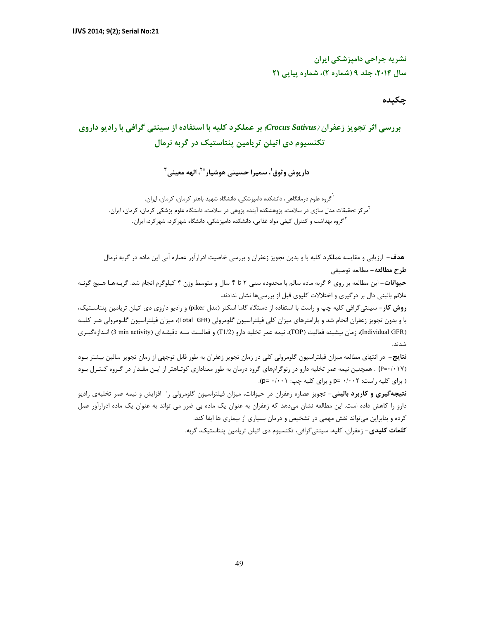**نشريه جراحي دامپزشكي ايران سال ،2014 جلد 9 (شماره 2)، شماره پياپي 21** 

# **چكيده**

# **بررسي اثر تجويز زعفران (***Sativus Crocus* **(بر عملكرد كليه با استفاده از سينتي گرافي با راديو داروي تكنسيوم دي اتيلن تريامين پنتاستيك در گربه نرمال**

**3 ، الهه معيني \*2 ، سميرا حسيني هوشيار <sup>1</sup> داريوش وثوق**

گروه علوم درمانگاهي، دانشكده دامپزشكي، دانشگاه شهيد باهنر كرمان، كرمان، ايران. <sup>1</sup> <sup>7</sup>مركز تحقيقات مدل سازي در سلامت، پژوهشكده آينده پژوهي در سلامت، دانشگاه علوم پزشكي كرمان، كرمان، ايران. گروه بهداشت و كنترل كيفي مواد غذايي، دانشكده دامپزشكي، دانشگاه شهركرد، شهركرد، ايران. <sup>3</sup>

**هدف-** ارزيابي و مقايسه عملكرد كليه با و بدون تجويز زعفران و بررسي خاصيت ادرارآور عصاره آبي اين ماده در گربه نرمال **طرح مطالعه-** مطالعه توصيفي

**حيوانات-** اين مطالعه بر روي 6 گربه ماده سالم با محدوده سني 2 تا 4 سال و متوسط وزن 4 كيلوگرم انجام شد. گربـههـا هـيچ گونـه علائم باليني دال بر درگيري و اختلالات كليوي قبل از بررسيها نشان ندادند.

**روش كار-** سينتيگرافي كليه چپ و راست با استفاده از دستگاه گاما اسكنر (مدل piker (و راديو داروي دي اتيلن تريامين پنتاسـتيك، با و بدون تجويز زعفران انجام شد و پارامترهاي ميزان كلي فيلتراسيون گلومرولي (GFR Total(، ميزان فيلتراسيون گلـومرولي هـر كليـه (Individual GFR)، زمان بيشينه فعاليت (TOP)، نيمه عمر تخليه دارو (1/2T) و فعاليـت سـه دقيقـهاي (3 min activity انـدازهگيـري شدند.

**نتايج-** در انتهاي مطالعه ميزان فيلتراسيون گلومرولي كلي در زمان تجويز زعفران به طور قابل توجهي از زمان تجويز سالين بيشتر بـود (0/017=P (. همچنين نيمه عمر تخليه دارو در رنوگرامهاي گروه درمان به طور معناداري كوتـاهتر از ايـن مقـدار در گـروه كنتـرل بـود ( براي كليه راست: 0/002 =p و براي كليه چپ: 0/001 =p(.

**نتيجهگيري و كاربرد باليني-** تجويز عصاره زعفران در حيوانات، ميزان فيلتراسيون گلومرولي را افزايش و نيمه عمر تخليهي راديو دارو را كاهش داده است. اين مطالعه نشان ميدهد كه زعفران به عنوان يك ماده بي ضرر مي تواند به عنوان يك ماده ادرارآور عمل كرده و بنابراين ميتواند نقش مهمي در تشخيص و درمان بسياري از بيماري ها ايفا كند.

**كلمات كليدي-** زعفران، كليه، سينتيگرافي، تكنسيوم دي اتيلن تريامين پنتاستيك، گربه.